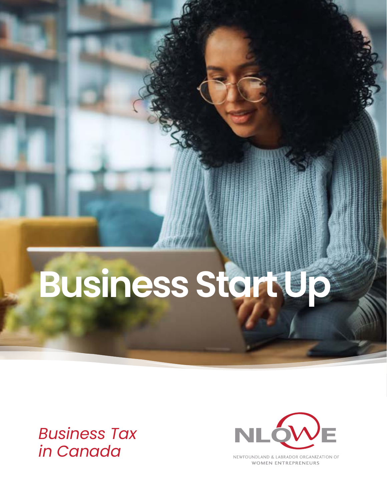# **Business Start Up**

*Business Tax in Canada*



NEWFOUNDLAND & LABRADOR ORGANIZATION OF **WOMEN ENTREPRENEURS**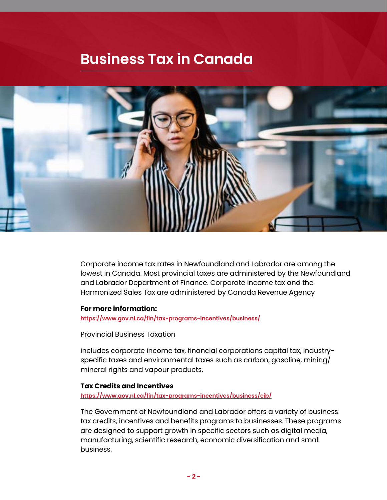# **Business Tax in Canada**



Corporate income tax rates in Newfoundland and Labrador are among the lowest in Canada. Most provincial taxes are administered by the Newfoundland and Labrador Department of Finance. Corporate income tax and the Harmonized Sales Tax are administered by Canada Revenue Agency

#### **For more information:**

**<https://www.gov.nl.ca/fin/tax-programs-incentives/business/>**

Provincial Business Taxation

includes corporate income tax, financial corporations capital tax, industryspecific taxes and environmental taxes such as carbon, gasoline, mining/ mineral rights and vapour products.

#### **Tax Credits and Incentives**

**<https://www.gov.nl.ca/fin/tax-programs-incentives/business/cib/>**

The Government of Newfoundland and Labrador offers a variety of business tax credits, incentives and benefits programs to businesses. These programs are designed to support growth in specific sectors such as digital media, manufacturing, scientific research, economic diversification and small business.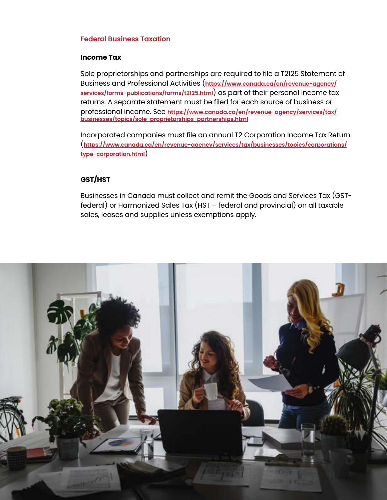### **Federal Business Taxation**

#### **Income Tax**

Sole proprietorships and partnerships are required to file a T2125 Statement of Business and Professional Activities (**[https://www.canada.ca/en/revenue-agency/](https://www.canada.ca/en/revenue-agency/services/forms-publications/forms/t2125.html) [services/forms-publications/forms/t2125.html](https://www.canada.ca/en/revenue-agency/services/forms-publications/forms/t2125.html)**) as part of their personal income tax returns. A separate statement must be filed for each source of business or professional income. See **[https://www.canada.ca/en/revenue-agency/services/tax/](https://www.canada.ca/en/revenue-agency/services/tax/businesses/topics/sole-proprietorships-partnerships.html ) [businesses/topics/sole-proprietorships-partnerships.html](https://www.canada.ca/en/revenue-agency/services/tax/businesses/topics/sole-proprietorships-partnerships.html )**

Incorporated companies must file an annual T2 Corporation Income Tax Return (**[https://www.canada.ca/en/revenue-agency/services/tax/businesses/topics/corporations/](https://www.canada.ca/en/revenue-agency/services/tax/businesses/topics/corporations/type-corporation.html) [type-corporation.html](https://www.canada.ca/en/revenue-agency/services/tax/businesses/topics/corporations/type-corporation.html)**)

# **GST/HST**

Businesses in Canada must collect and remit the Goods and Services Tax (GSTfederal) or Harmonized Sales Tax (HST – federal and provincial) on all taxable sales, leases and supplies unless exemptions apply.